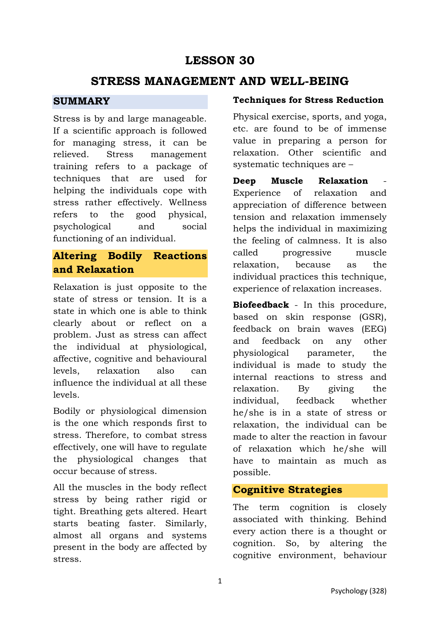## **LESSON 30**

## **STRESS MANAGEMENT AND WELL-BEING**

### **SUMMARY**

Stress is by and large manageable. If a scientific approach is followed for managing stress, it can be relieved. Stress management training refers to a package of techniques that are used for helping the individuals cope with stress rather effectively. Wellness refers to the good physical, psychological and social functioning of an individual.

## **Altering Bodily Reactions and Relaxation**

Relaxation is just opposite to the state of stress or tension. It is a state in which one is able to think clearly about or reflect on a problem. Just as stress can affect the individual at physiological, affective, cognitive and behavioural levels, relaxation also can influence the individual at all these levels.

Bodily or physiological dimension is the one which responds first to stress. Therefore, to combat stress effectively, one will have to regulate the physiological changes that occur because of stress.

All the muscles in the body reflect stress by being rather rigid or tight. Breathing gets altered. Heart starts beating faster. Similarly, almost all organs and systems present in the body are affected by stress.

### **Techniques for Stress Reduction**

Physical exercise, sports, and yoga, etc. are found to be of immense value in preparing a person for relaxation. Other scientific and systematic techniques are –

**Deep** Muscle Relaxation Experience of relaxation and appreciation of difference between tension and relaxation immensely helps the individual in maximizing the feeling of calmness. It is also called progressive muscle relaxation, because as the individual practices this technique, experience of relaxation increases.

**Biofeedback** - In this procedure, based on skin response (GSR), feedback on brain waves (EEG) and feedback on any other physiological parameter, the individual is made to study the internal reactions to stress and relaxation. By giving the individual, feedback whether he/she is in a state of stress or relaxation, the individual can be made to alter the reaction in favour of relaxation which he/she will have to maintain as much as possible.

### **Cognitive Strategies**

The term cognition is closely associated with thinking. Behind every action there is a thought or cognition. So, by altering the cognitive environment, behaviour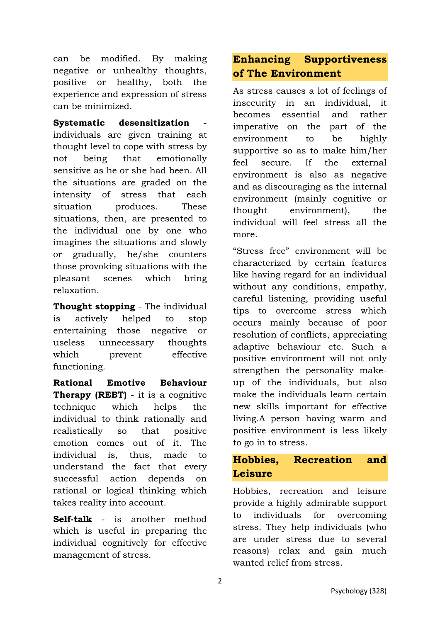can be modified. By making negative or unhealthy thoughts, positive or healthy, both the experience and expression of stress can be minimized.

**Systematic** desensitization individuals are given training at thought level to cope with stress by not being that emotionally sensitive as he or she had been. All the situations are graded on the intensity of stress that each situation produces. These situations, then, are presented to the individual one by one who imagines the situations and slowly or gradually, he/she counters those provoking situations with the pleasant scenes which bring relaxation.

**Thought stopping** - The individual is actively helped to stop entertaining those negative or useless unnecessary thoughts which prevent effective functioning.

**Rational Emotive Behaviour Therapy (REBT)** - it is a cognitive technique which helps the individual to think rationally and realistically so that positive emotion comes out of it. The individual is, thus, made to understand the fact that every successful action depends on rational or logical thinking which takes reality into account.

**Self-talk** - is another method which is useful in preparing the individual cognitively for effective management of stress.

## **Enhancing Supportiveness of The Environment**

As stress causes a lot of feelings of insecurity in an individual, it becomes essential and rather imperative on the part of the environment to be highly supportive so as to make him/her feel secure. If the external environment is also as negative and as discouraging as the internal environment (mainly cognitive or thought environment), the individual will feel stress all the more.

"Stress free" environment will be characterized by certain features like having regard for an individual without any conditions, empathy, careful listening, providing useful tips to overcome stress which occurs mainly because of poor resolution of conflicts, appreciating adaptive behaviour etc. Such a positive environment will not only strengthen the personality makeup of the individuals, but also make the individuals learn certain new skills important for effective living.A person having warm and positive environment is less likely to go in to stress.

## **Hobbies, Recreation and Leisure**

Hobbies, recreation and leisure provide a highly admirable support to individuals for overcoming stress. They help individuals (who are under stress due to several reasons) relax and gain much wanted relief from stress.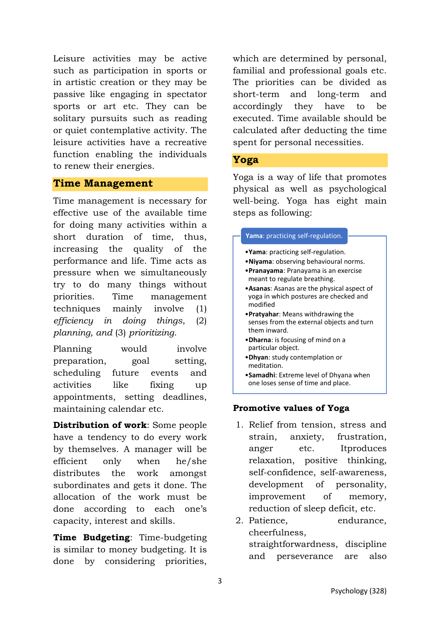Leisure activities may be active such as participation in sports or in artistic creation or they may be passive like engaging in spectator sports or art etc. They can be solitary pursuits such as reading or quiet contemplative activity. The leisure activities have a recreative function enabling the individuals to renew their energies.

### **Time Management**

Time management is necessary for effective use of the available time for doing many activities within a short duration of time, thus, increasing the quality of the performance and life. Time acts as pressure when we simultaneously try to do many things without priorities. Time management techniques mainly involve (1) *efficiency in doing things*, (2) *planning, and* (3) *prioritizing*.

Planning would involve preparation, goal setting, scheduling future events and activities like fixing up appointments, setting deadlines, maintaining calendar etc.

**Distribution of work**: Some people have a tendency to do every work by themselves. A manager will be efficient only when he/she distributes the work amongst subordinates and gets it done. The allocation of the work must be done according to each one's capacity, interest and skills.

**Time Budgeting**: Time-budgeting is similar to money budgeting. It is done by considering priorities,

which are determined by personal, familial and professional goals etc. The priorities can be divided as short-term and long-term and accordingly they have to be executed. Time available should be calculated after deducting the time spent for personal necessities.

#### **Yoga**

Yoga is a way of life that promotes physical as well as psychological well-being. Yoga has eight main steps as following:

#### **Yama**: practicing self-regulation.

- •**Yama**: practicing self-regulation.
- •**Niyama**: observing behavioural norms.
- •**Pranayama**: Pranayama is an exercise meant to regulate breathing.
- •**Asanas**: Asanas are the physical aspect of yoga in which postures are checked and modified
- •**Pratyahar**: Means withdrawing the senses from the external objects and turn them inward.
- •**Dharna**: is focusing of mind on a particular object.
- •**Dhyan**: study contemplation or meditation.
- •**Samadhi**: Extreme level of Dhyana when one loses sense of time and place.

#### **Promotive values of Yoga**

- 1. Relief from tension, stress and strain, anxiety, frustration, anger etc. Itproduces relaxation, positive thinking, self-confidence, self-awareness, development of personality, improvement of memory, reduction of sleep deficit, etc.
- 2. Patience, endurance, cheerfulness, straightforwardness, discipline and perseverance are also